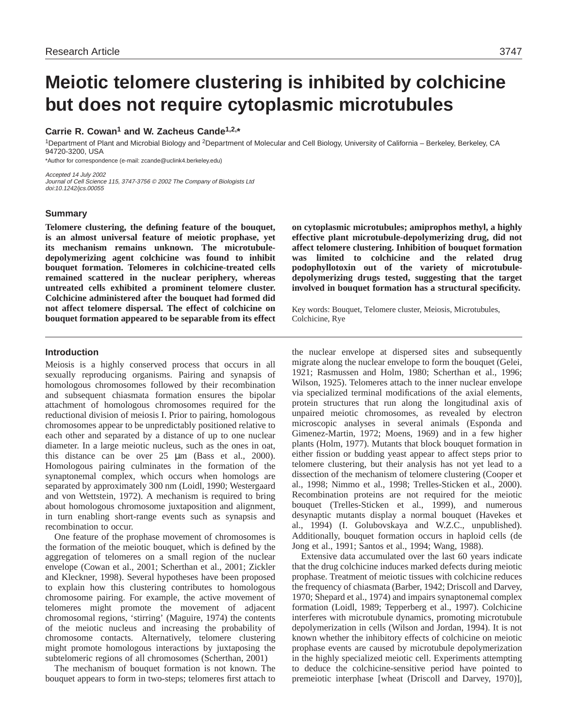# **Meiotic telomere clustering is inhibited by colchicine but does not require cytoplasmic microtubules**

## **Carrie R. Cowan1 and W. Zacheus Cande1,2,\***

1Department of Plant and Microbial Biology and 2Department of Molecular and Cell Biology, University of California – Berkeley, Berkeley, CA 94720-3200, USA

\*Author for correspondence (e-mail: zcande@uclink4.berkeley.edu)

Accepted 14 July 2002 Journal of Cell Science 115, 3747-3756 © 2002 The Company of Biologists Ltd doi:10.1242/jcs.00055

## **Summary**

**Telomere clustering, the defining feature of the bouquet, is an almost universal feature of meiotic prophase, yet its mechanism remains unknown. The microtubuledepolymerizing agent colchicine was found to inhibit bouquet formation. Telomeres in colchicine-treated cells remained scattered in the nuclear periphery, whereas untreated cells exhibited a prominent telomere cluster. Colchicine administered after the bouquet had formed did not affect telomere dispersal. The effect of colchicine on bouquet formation appeared to be separable from its effect** **on cytoplasmic microtubules; amiprophos methyl, a highly effective plant microtubule-depolymerizing drug, did not affect telomere clustering. Inhibition of bouquet formation was limited to colchicine and the related drug podophyllotoxin out of the variety of microtubuledepolymerizing drugs tested, suggesting that the target involved in bouquet formation has a structural specificity.** 

Key words: Bouquet, Telomere cluster, Meiosis, Microtubules, Colchicine, Rye

## **Introduction**

Meiosis is a highly conserved process that occurs in all sexually reproducing organisms. Pairing and synapsis of homologous chromosomes followed by their recombination and subsequent chiasmata formation ensures the bipolar attachment of homologous chromosomes required for the reductional division of meiosis I. Prior to pairing, homologous chromosomes appear to be unpredictably positioned relative to each other and separated by a distance of up to one nuclear diameter. In a large meiotic nucleus, such as the ones in oat, this distance can be over 25 µm (Bass et al., 2000). Homologous pairing culminates in the formation of the synaptonemal complex, which occurs when homologs are separated by approximately 300 nm (Loidl, 1990; Westergaard and von Wettstein, 1972). A mechanism is required to bring about homologous chromosome juxtaposition and alignment, in turn enabling short-range events such as synapsis and recombination to occur.

One feature of the prophase movement of chromosomes is the formation of the meiotic bouquet, which is defined by the aggregation of telomeres on a small region of the nuclear envelope (Cowan et al., 2001; Scherthan et al., 2001; Zickler and Kleckner, 1998). Several hypotheses have been proposed to explain how this clustering contributes to homologous chromosome pairing. For example, the active movement of telomeres might promote the movement of adjacent chromosomal regions, 'stirring' (Maguire, 1974) the contents of the meiotic nucleus and increasing the probability of chromosome contacts. Alternatively, telomere clustering might promote homologous interactions by juxtaposing the subtelomeric regions of all chromosomes (Scherthan, 2001)

The mechanism of bouquet formation is not known. The bouquet appears to form in two-steps; telomeres first attach to the nuclear envelope at dispersed sites and subsequently migrate along the nuclear envelope to form the bouquet (Gelei, 1921; Rasmussen and Holm, 1980; Scherthan et al., 1996; Wilson, 1925). Telomeres attach to the inner nuclear envelope via specialized terminal modifications of the axial elements, protein structures that run along the longitudinal axis of unpaired meiotic chromosomes, as revealed by electron microscopic analyses in several animals (Esponda and Gimenez-Martin, 1972; Moens, 1969) and in a few higher plants (Holm, 1977). Mutants that block bouquet formation in either fission or budding yeast appear to affect steps prior to telomere clustering, but their analysis has not yet lead to a dissection of the mechanism of telomere clustering (Cooper et al., 1998; Nimmo et al., 1998; Trelles-Sticken et al., 2000). Recombination proteins are not required for the meiotic bouquet (Trelles-Sticken et al., 1999), and numerous desynaptic mutants display a normal bouquet (Havekes et al., 1994) (I. Golubovskaya and W.Z.C., unpublished). Additionally, bouquet formation occurs in haploid cells (de Jong et al., 1991; Santos et al., 1994; Wang, 1988).

Extensive data accumulated over the last 60 years indicate that the drug colchicine induces marked defects during meiotic prophase. Treatment of meiotic tissues with colchicine reduces the frequency of chiasmata (Barber, 1942; Driscoll and Darvey, 1970; Shepard et al., 1974) and impairs synaptonemal complex formation (Loidl, 1989; Tepperberg et al., 1997). Colchicine interferes with microtubule dynamics, promoting microtubule depolymerization in cells (Wilson and Jordan, 1994). It is not known whether the inhibitory effects of colchicine on meiotic prophase events are caused by microtubule depolymerization in the highly specialized meiotic cell. Experiments attempting to deduce the colchicine-sensitive period have pointed to premeiotic interphase [wheat (Driscoll and Darvey, 1970)],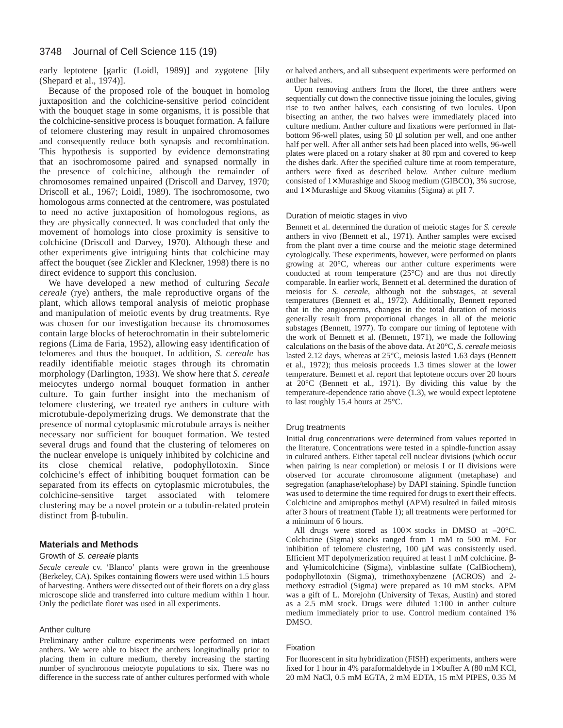#### 3748 Journal of Cell Science 115 (19)

early leptotene [garlic (Loidl, 1989)] and zygotene [lily (Shepard et al., 1974)].

Because of the proposed role of the bouquet in homolog juxtaposition and the colchicine-sensitive period coincident with the bouquet stage in some organisms, it is possible that the colchicine-sensitive process is bouquet formation. A failure of telomere clustering may result in unpaired chromosomes and consequently reduce both synapsis and recombination. This hypothesis is supported by evidence demonstrating that an isochromosome paired and synapsed normally in the presence of colchicine, although the remainder of chromosomes remained unpaired (Driscoll and Darvey, 1970; Driscoll et al., 1967; Loidl, 1989). The isochromosome, two homologous arms connected at the centromere, was postulated to need no active juxtaposition of homologous regions, as they are physically connected. It was concluded that only the movement of homologs into close proximity is sensitive to colchicine (Driscoll and Darvey, 1970). Although these and other experiments give intriguing hints that colchicine may affect the bouquet (see Zickler and Kleckner, 1998) there is no direct evidence to support this conclusion.

We have developed a new method of culturing *Secale cereale* (rye) anthers, the male reproductive organs of the plant, which allows temporal analysis of meiotic prophase and manipulation of meiotic events by drug treatments. Rye was chosen for our investigation because its chromosomes contain large blocks of heterochromatin in their subtelomeric regions (Lima de Faria, 1952), allowing easy identification of telomeres and thus the bouquet. In addition, *S. cereale* has readily identifiable meiotic stages through its chromatin morphology (Darlington, 1933). We show here that *S. cereale* meiocytes undergo normal bouquet formation in anther culture. To gain further insight into the mechanism of telomere clustering, we treated rye anthers in culture with microtubule-depolymerizing drugs. We demonstrate that the presence of normal cytoplasmic microtubule arrays is neither necessary nor sufficient for bouquet formation. We tested several drugs and found that the clustering of telomeres on the nuclear envelope is uniquely inhibited by colchicine and its close chemical relative, podophyllotoxin. Since colchicine's effect of inhibiting bouquet formation can be separated from its effects on cytoplasmic microtubules, the colchicine-sensitive target associated with telomere clustering may be a novel protein or a tubulin-related protein distinct from β-tubulin.

## **Materials and Methods**

#### Growth of S. cereale plants

*Secale cereale* cv. 'Blanco' plants were grown in the greenhouse (Berkeley, CA). Spikes containing flowers were used within 1.5 hours of harvesting. Anthers were dissected out of their florets on a dry glass microscope slide and transferred into culture medium within 1 hour. Only the pedicilate floret was used in all experiments.

## Anther culture

Preliminary anther culture experiments were performed on intact anthers. We were able to bisect the anthers longitudinally prior to placing them in culture medium, thereby increasing the starting number of synchronous meiocyte populations to six. There was no difference in the success rate of anther cultures performed with whole or halved anthers, and all subsequent experiments were performed on anther halves.

Upon removing anthers from the floret, the three anthers were sequentially cut down the connective tissue joining the locules, giving rise to two anther halves, each consisting of two locules. Upon bisecting an anther, the two halves were immediately placed into culture medium. Anther culture and fixations were performed in flatbottom 96-well plates, using 50 µl solution per well, and one anther half per well. After all anther sets had been placed into wells, 96-well plates were placed on a rotary shaker at 80 rpm and covered to keep the dishes dark. After the specified culture time at room temperature, anthers were fixed as described below. Anther culture medium consisted of 1× Murashige and Skoog medium (GIBCO), 3% sucrose, and  $1\times$  Murashige and Skoog vitamins (Sigma) at pH 7.

#### Duration of meiotic stages in vivo

Bennett et al. determined the duration of meiotic stages for *S. cereale* anthers in vivo (Bennett et al., 1971). Anther samples were excised from the plant over a time course and the meiotic stage determined cytologically. These experiments, however, were performed on plants growing at 20°C, whereas our anther culture experiments were conducted at room temperature (25°C) and are thus not directly comparable. In earlier work, Bennett et al. determined the duration of meiosis for *S. cereale*, although not the substages, at several temperatures (Bennett et al., 1972). Additionally, Bennett reported that in the angiosperms, changes in the total duration of meiosis generally result from proportional changes in all of the meiotic substages (Bennett, 1977). To compare our timing of leptotene with the work of Bennett et al. (Bennett, 1971), we made the following calculations on the basis of the above data. At 20°C, *S. cereale* meiosis lasted 2.12 days, whereas at 25°C, meiosis lasted 1.63 days (Bennett et al., 1972); thus meiosis proceeds 1.3 times slower at the lower temperature. Bennett et al. report that leptotene occurs over 20 hours at 20°C (Bennett et al., 1971). By dividing this value by the temperature-dependence ratio above (1.3), we would expect leptotene to last roughly 15.4 hours at 25°C.

#### Drug treatments

Initial drug concentrations were determined from values reported in the literature. Concentrations were tested in a spindle-function assay in cultured anthers. Either tapetal cell nuclear divisions (which occur when pairing is near completion) or meiosis I or II divisions were observed for accurate chromosome alignment (metaphase) and segregation (anaphase/telophase) by DAPI staining. Spindle function was used to determine the time required for drugs to exert their effects. Colchicine and amiprophos methyl (APM) resulted in failed mitosis after 3 hours of treatment (Table 1); all treatments were performed for a minimum of 6 hours.

All drugs were stored as  $100 \times$  stocks in DMSO at  $-20^{\circ}$ C. Colchicine (Sigma) stocks ranged from 1 mM to 500 mM. For inhibition of telomere clustering, 100 µM was consistently used. Efficient MT depolymerization required at least 1 mM colchicine. βand γ-lumicolchicine (Sigma), vinblastine sulfate (CalBiochem), podophyllotoxin (Sigma), trimethoxybenzene (ACROS) and 2 methoxy estradiol (Sigma) were prepared as 10 mM stocks. APM was a gift of L. Morejohn (University of Texas, Austin) and stored as a 2.5 mM stock. Drugs were diluted 1:100 in anther culture medium immediately prior to use. Control medium contained 1% DMSO.

#### Fixation

For fluorescent in situ hybridization (FISH) experiments, anthers were fixed for 1 hour in 4% paraformaldehyde in  $1 \times$  buffer A (80 mM KCl, 20 mM NaCl, 0.5 mM EGTA, 2 mM EDTA, 15 mM PIPES, 0.35 M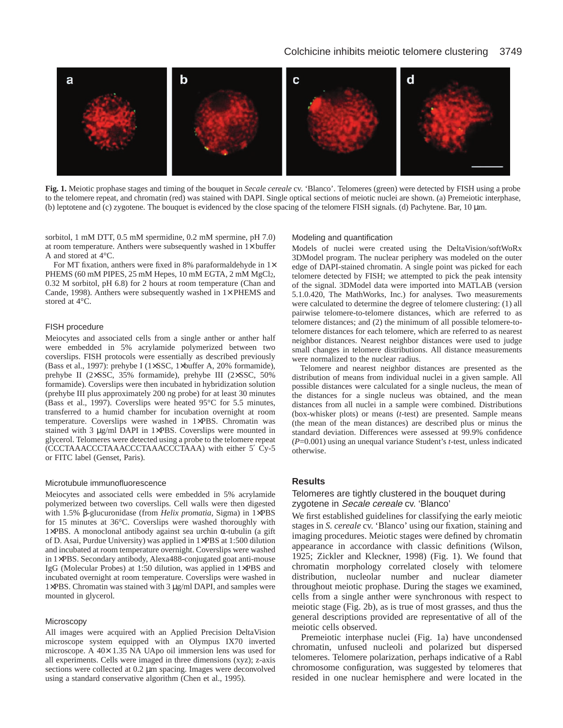## Colchicine inhibits meiotic telomere clustering 3749



**Fig. 1.** Meiotic prophase stages and timing of the bouquet in *Secale cereale* cv. 'Blanco'. Telomeres (green) were detected by FISH using a probe to the telomere repeat, and chromatin (red) was stained with DAPI. Single optical sections of meiotic nuclei are shown. (a) Premeiotic interphase, (b) leptotene and (c) zygotene. The bouquet is evidenced by the close spacing of the telomere FISH signals. (d) Pachytene. Bar, 10 µm.

sorbitol, 1 mM DTT, 0.5 mM spermidine, 0.2 mM spermine, pH 7.0) at room temperature. Anthers were subsequently washed in  $1\times$  buffer A and stored at 4°C.

For MT fixation, anthers were fixed in 8% paraformaldehyde in  $1\times$ PHEMS (60 mM PIPES, 25 mM Hepes, 10 mM EGTA, 2 mM MgCl<sub>2</sub>, 0.32 M sorbitol, pH 6.8) for 2 hours at room temperature (Chan and Cande, 1998). Anthers were subsequently washed in  $1\times$  PHEMS and stored at 4°C.

## FISH procedure

Meiocytes and associated cells from a single anther or anther half were embedded in 5% acrylamide polymerized between two coverslips. FISH protocols were essentially as described previously (Bass et al., 1997): prehybe I (1×SSC, 1×buffer A, 20% formamide), prehybe II (2×SSC, 35% formamide), prehybe III (2×SSC, 50% formamide). Coverslips were then incubated in hybridization solution (prehybe III plus approximately 200 ng probe) for at least 30 minutes (Bass et al., 1997). Coverslips were heated 95°C for 5.5 minutes, transferred to a humid chamber for incubation overnight at room temperature. Coverslips were washed in 1×PBS. Chromatin was stained with 3 µg/ml DAPI in 1×PBS. Coverslips were mounted in glycerol. Telomeres were detected using a probe to the telomere repeat (CCCTAAACCCTAAACCCTAAACCCTAAA) with either 5′ Cy-5 or FITC label (Genset, Paris).

#### Microtubule immunofluorescence

Meiocytes and associated cells were embedded in 5% acrylamide polymerized between two coverslips. Cell walls were then digested with 1.5% β-glucuronidase (from *Helix promatia*, Sigma) in 1×PBS for 15 minutes at 36°C. Coverslips were washed thoroughly with 1×PBS. A monoclonal antibody against sea urchin α-tubulin (a gift of D. Asai, Purdue University) was applied in 1×PBS at 1:500 dilution and incubated at room temperature overnight. Coverslips were washed in 1×PBS. Secondary antibody, Alexa488-conjugated goat anti-mouse IgG (Molecular Probes) at 1:50 dilution, was applied in 1×PBS and incubated overnight at room temperature. Coverslips were washed in 1×PBS. Chromatin was stained with 3 µg/ml DAPI, and samples were mounted in glycerol.

#### **Microscopy**

All images were acquired with an Applied Precision DeltaVision microscope system equipped with an Olympus IX70 inverted microscope. A 40× 1.35 NA UApo oil immersion lens was used for all experiments. Cells were imaged in three dimensions (xyz); z-axis sections were collected at 0.2  $\mu$ m spacing. Images were deconvolved using a standard conservative algorithm (Chen et al., 1995).

#### Modeling and quantification

Models of nuclei were created using the DeltaVision/softWoRx 3DModel program. The nuclear periphery was modeled on the outer edge of DAPI-stained chromatin. A single point was picked for each telomere detected by FISH; we attempted to pick the peak intensity of the signal. 3DModel data were imported into MATLAB (version 5.1.0.420, The MathWorks, Inc.) for analyses. Two measurements were calculated to determine the degree of telomere clustering: (1) all pairwise telomere-to-telomere distances, which are referred to as telomere distances; and (2) the minimum of all possible telomere-totelomere distances for each telomere, which are referred to as nearest neighbor distances. Nearest neighbor distances were used to judge small changes in telomere distributions. All distance measurements were normalized to the nuclear radius.

Telomere and nearest neighbor distances are presented as the distribution of means from individual nuclei in a given sample. All possible distances were calculated for a single nucleus, the mean of the distances for a single nucleus was obtained, and the mean distances from all nuclei in a sample were combined. Distributions (box-whisker plots) or means (*t*-test) are presented. Sample means (the mean of the mean distances) are described plus or minus the standard deviation. Differences were assessed at 99.9% confidence (*P*=0.001) using an unequal variance Student's *t*-test, unless indicated otherwise.

## **Results**

## Telomeres are tightly clustered in the bouquet during zygotene in Secale cereale cv. 'Blanco'

We first established guidelines for classifying the early meiotic stages in *S. cereale* cv. 'Blanco' using our fixation, staining and imaging procedures. Meiotic stages were defined by chromatin appearance in accordance with classic definitions (Wilson, 1925; Zickler and Kleckner, 1998) (Fig. 1). We found that chromatin morphology correlated closely with telomere distribution, nucleolar number and nuclear diameter throughout meiotic prophase. During the stages we examined, cells from a single anther were synchronous with respect to meiotic stage (Fig. 2b), as is true of most grasses, and thus the general descriptions provided are representative of all of the meiotic cells observed.

Premeiotic interphase nuclei (Fig. 1a) have uncondensed chromatin, unfused nucleoli and polarized but dispersed telomeres. Telomere polarization, perhaps indicative of a Rabl chromosome configuration, was suggested by telomeres that resided in one nuclear hemisphere and were located in the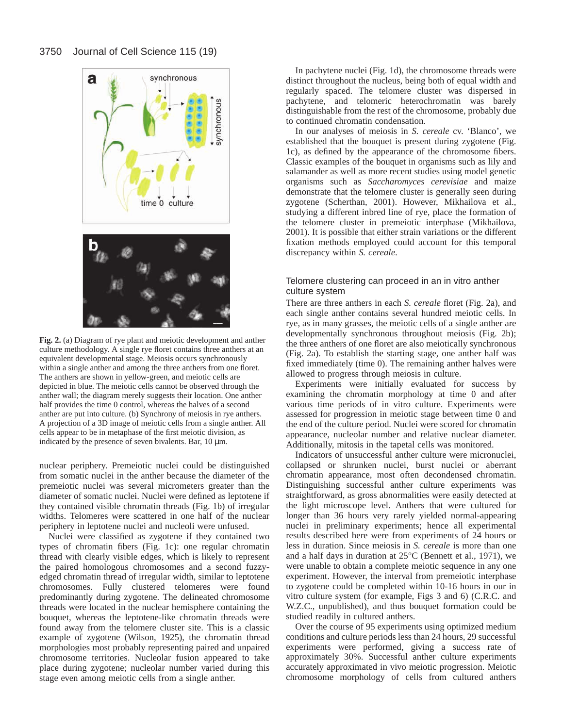

**Fig. 2.** (a) Diagram of rye plant and meiotic development and anther culture methodology. A single rye floret contains three anthers at an equivalent developmental stage. Meiosis occurs synchronously within a single anther and among the three anthers from one floret. The anthers are shown in yellow-green, and meiotic cells are depicted in blue. The meiotic cells cannot be observed through the anther wall; the diagram merely suggests their location. One anther half provides the time 0 control, whereas the halves of a second anther are put into culture. (b) Synchrony of meiosis in rye anthers. A projection of a 3D image of meiotic cells from a single anther. All cells appear to be in metaphase of the first meiotic division, as indicated by the presence of seven bivalents. Bar, 10  $\mu$ m.

nuclear periphery. Premeiotic nuclei could be distinguished from somatic nuclei in the anther because the diameter of the premeiotic nuclei was several micrometers greater than the diameter of somatic nuclei. Nuclei were defined as leptotene if they contained visible chromatin threads (Fig. 1b) of irregular widths. Telomeres were scattered in one half of the nuclear periphery in leptotene nuclei and nucleoli were unfused.

Nuclei were classified as zygotene if they contained two types of chromatin fibers (Fig. 1c): one regular chromatin thread with clearly visible edges, which is likely to represent the paired homologous chromosomes and a second fuzzyedged chromatin thread of irregular width, similar to leptotene chromosomes. Fully clustered telomeres were found predominantly during zygotene. The delineated chromosome threads were located in the nuclear hemisphere containing the bouquet, whereas the leptotene-like chromatin threads were found away from the telomere cluster site. This is a classic example of zygotene (Wilson, 1925), the chromatin thread morphologies most probably representing paired and unpaired chromosome territories. Nucleolar fusion appeared to take place during zygotene; nucleolar number varied during this stage even among meiotic cells from a single anther.

In pachytene nuclei (Fig. 1d), the chromosome threads were distinct throughout the nucleus, being both of equal width and regularly spaced. The telomere cluster was dispersed in pachytene, and telomeric heterochromatin was barely distinguishable from the rest of the chromosome, probably due to continued chromatin condensation.

In our analyses of meiosis in *S. cereale* cv. 'Blanco', we established that the bouquet is present during zygotene (Fig. 1c), as defined by the appearance of the chromosome fibers. Classic examples of the bouquet in organisms such as lily and salamander as well as more recent studies using model genetic organisms such as *Saccharomyces cerevisiae* and maize demonstrate that the telomere cluster is generally seen during zygotene (Scherthan, 2001). However, Mikhailova et al., studying a different inbred line of rye, place the formation of the telomere cluster in premeiotic interphase (Mikhailova, 2001). It is possible that either strain variations or the different fixation methods employed could account for this temporal discrepancy within *S. cereale*.

## Telomere clustering can proceed in an in vitro anther culture system

There are three anthers in each *S. cereale* floret (Fig. 2a), and each single anther contains several hundred meiotic cells. In rye, as in many grasses, the meiotic cells of a single anther are developmentally synchronous throughout meiosis (Fig. 2b); the three anthers of one floret are also meiotically synchronous (Fig. 2a). To establish the starting stage, one anther half was fixed immediately (time 0). The remaining anther halves were allowed to progress through meiosis in culture.

Experiments were initially evaluated for success by examining the chromatin morphology at time 0 and after various time periods of in vitro culture. Experiments were assessed for progression in meiotic stage between time 0 and the end of the culture period. Nuclei were scored for chromatin appearance, nucleolar number and relative nuclear diameter. Additionally, mitosis in the tapetal cells was monitored.

Indicators of unsuccessful anther culture were micronuclei, collapsed or shrunken nuclei, burst nuclei or aberrant chromatin appearance, most often decondensed chromatin. Distinguishing successful anther culture experiments was straightforward, as gross abnormalities were easily detected at the light microscope level. Anthers that were cultured for longer than 36 hours very rarely yielded normal-appearing nuclei in preliminary experiments; hence all experimental results described here were from experiments of 24 hours or less in duration. Since meiosis in *S. cereale* is more than one and a half days in duration at 25°C (Bennett et al., 1971), we were unable to obtain a complete meiotic sequence in any one experiment. However, the interval from premeiotic interphase to zygotene could be completed within 10-16 hours in our in vitro culture system (for example, Figs 3 and 6) (C.R.C. and W.Z.C., unpublished), and thus bouquet formation could be studied readily in cultured anthers.

Over the course of 95 experiments using optimized medium conditions and culture periods less than 24 hours, 29 successful experiments were performed, giving a success rate of approximately 30%. Successful anther culture experiments accurately approximated in vivo meiotic progression. Meiotic chromosome morphology of cells from cultured anthers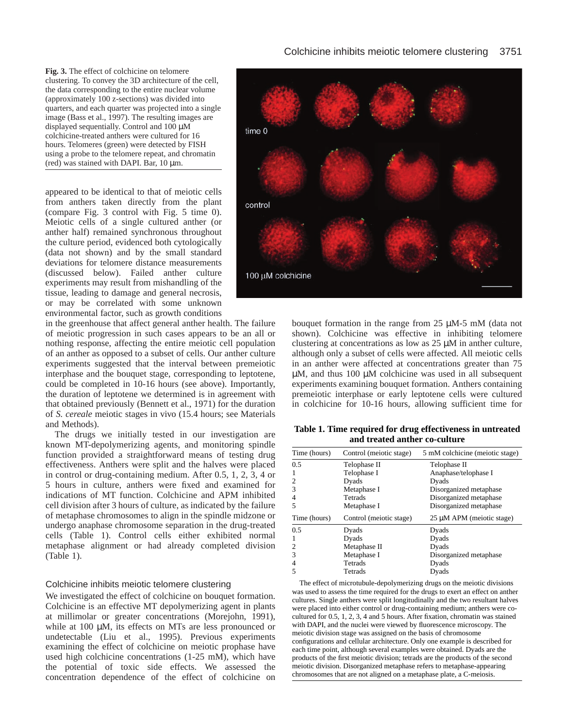**Fig. 3.** The effect of colchicine on telomere clustering. To convey the 3D architecture of the cell, the data corresponding to the entire nuclear volume (approximately 100 z-sections) was divided into quarters, and each quarter was projected into a single image (Bass et al., 1997). The resulting images are displayed sequentially. Control and 100 µM colchicine-treated anthers were cultured for 16 hours. Telomeres (green) were detected by FISH using a probe to the telomere repeat, and chromatin (red) was stained with DAPI. Bar, 10 µm.

appeared to be identical to that of meiotic cells from anthers taken directly from the plant (compare Fig. 3 control with Fig. 5 time 0). Meiotic cells of a single cultured anther (or anther half) remained synchronous throughout the culture period, evidenced both cytologically (data not shown) and by the small standard deviations for telomere distance measurements (discussed below). Failed anther culture experiments may result from mishandling of the tissue, leading to damage and general necrosis, or may be correlated with some unknown environmental factor, such as growth conditions

in the greenhouse that affect general anther health. The failure of meiotic progression in such cases appears to be an all or nothing response, affecting the entire meiotic cell population of an anther as opposed to a subset of cells. Our anther culture experiments suggested that the interval between premeiotic interphase and the bouquet stage, corresponding to leptotene, could be completed in 10-16 hours (see above). Importantly, the duration of leptotene we determined is in agreement with that obtained previously (Bennett et al., 1971) for the duration of *S. cereale* meiotic stages in vivo (15.4 hours; see Materials and Methods).

The drugs we initially tested in our investigation are known MT-depolymerizing agents, and monitoring spindle function provided a straightforward means of testing drug effectiveness. Anthers were split and the halves were placed in control or drug-containing medium. After 0.5, 1, 2, 3, 4 or 5 hours in culture, anthers were fixed and examined for indications of MT function. Colchicine and APM inhibited cell division after 3 hours of culture, as indicated by the failure of metaphase chromosomes to align in the spindle midzone or undergo anaphase chromosome separation in the drug-treated cells (Table 1). Control cells either exhibited normal metaphase alignment or had already completed division (Table 1).

## Colchicine inhibits meiotic telomere clustering

We investigated the effect of colchicine on bouquet formation. Colchicine is an effective MT depolymerizing agent in plants at millimolar or greater concentrations (Morejohn, 1991), while at 100 µM, its effects on MTs are less pronounced or undetectable (Liu et al., 1995). Previous experiments examining the effect of colchicine on meiotic prophase have used high colchicine concentrations (1-25 mM), which have the potential of toxic side effects. We assessed the concentration dependence of the effect of colchicine on



bouquet formation in the range from 25 µM-5 mM (data not shown). Colchicine was effective in inhibiting telomere clustering at concentrations as low as 25 µM in anther culture, although only a subset of cells were affected. All meiotic cells in an anther were affected at concentrations greater than 75 µM, and thus 100 µM colchicine was used in all subsequent experiments examining bouquet formation. Anthers containing premeiotic interphase or early leptotene cells were cultured in colchicine for 10-16 hours, allowing sufficient time for

**Table 1. Time required for drug effectiveness in untreated and treated anther co-culture**

| 5 mM colchicine (meiotic stage) |
|---------------------------------|
|                                 |
| Anaphase/telophase I            |
|                                 |
| Disorganized metaphase          |
| Disorganized metaphase          |
|                                 |
| Disorganized metaphase          |
| 25 µM APM (meiotic stage)       |
|                                 |
|                                 |
|                                 |
| Disorganized metaphase          |
|                                 |
|                                 |

The effect of microtubule-depolymerizing drugs on the meiotic divisions was used to assess the time required for the drugs to exert an effect on anther cultures. Single anthers were split longitudinally and the two resultant halves were placed into either control or drug-containing medium; anthers were cocultured for 0.5, 1, 2, 3, 4 and 5 hours. After fixation, chromatin was stained with DAPI, and the nuclei were viewed by fluorescence microscopy. The meiotic division stage was assigned on the basis of chromosome configurations and cellular architecture. Only one example is described for each time point, although several examples were obtained. Dyads are the products of the first meiotic division; tetrads are the products of the second meiotic division. Disorganized metaphase refers to metaphase-appearing chromosomes that are not aligned on a metaphase plate, a C-meiosis.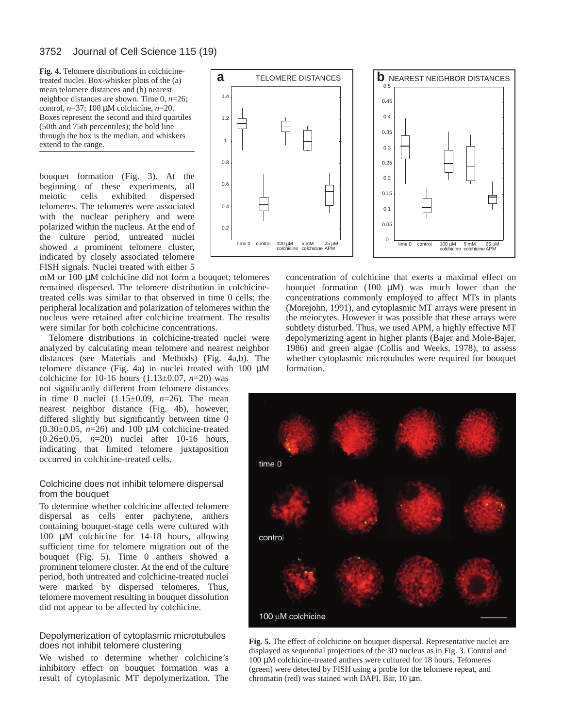mean telomere distances and (b) nearest neighbor distances are shown. Time 0, *n*=26; control, *n*=37; 100 µM colchicine, *n*=20. Boxes represent the second and third quartiles (50th and 75th percentiles); the bold line through the box is the median, and whiskers extend to the range.

bouquet formation (Fig. 3). At the beginning of these experiments, all meiotic cells exhibited dispersed telomeres. The telomeres were associated with the nuclear periphery and were polarized within the nucleus. At the end of the culture period, untreated nuclei showed a prominent telomere cluster, indicated by closely associated telomere FISH signals. Nuclei treated with either 5

mM or 100  $\mu$ M colchicine did not form a bouquet; telomeres remained dispersed. The telomere distribution in colchicinetreated cells was similar to that observed in time 0 cells; the peripheral localization and polarization of telomeres within the nucleus were retained after colchicine treatment. The results were similar for both colchicine concentrations.

Telomere distributions in colchicine-treated nuclei were analyzed by calculating mean telomere and nearest neighbor distances (see Materials and Methods) (Fig. 4a,b). The telomere distance (Fig. 4a) in nuclei treated with 100  $\mu$ M

colchicine for 10-16 hours (1.13±0.07, *n*=20) was not significantly different from telomere distances in time 0 nuclei (1.15±0.09, *n*=26). The mean nearest neighbor distance (Fig. 4b), however, differed slightly but significantly between time 0  $(0.30\pm0.05, n=26)$  and 100  $\mu$ M colchicine-treated (0.26±0.05, *n*=20) nuclei after 10-16 hours, indicating that limited telomere juxtaposition occurred in colchicine-treated cells.

## Colchicine does not inhibit telomere dispersal from the bouquet

To determine whether colchicine affected telomere dispersal as cells enter pachytene, anthers containing bouquet-stage cells were cultured with 100 µM colchicine for 14-18 hours, allowing sufficient time for telomere migration out of the bouquet (Fig. 5). Time 0 anthers showed a prominent telomere cluster. At the end of the culture period, both untreated and colchicine-treated nuclei were marked by dispersed telomeres. Thus, telomere movement resulting in bouquet dissolution did not appear to be affected by colchicine.

## Depolymerization of cytoplasmic microtubules does not inhibit telomere clustering

We wished to determine whether colchicine's inhibitory effect on bouquet formation was a result of cytoplasmic MT depolymerization. The



concentration of colchicine that exerts a maximal effect on bouquet formation  $(100 \mu M)$  was much lower than the concentrations commonly employed to affect MTs in plants (Morejohn, 1991), and cytoplasmic MT arrays were present in the meiocytes. However it was possible that these arrays were subtlety disturbed. Thus, we used APM, a highly effective MT depolymerizing agent in higher plants (Bajer and Mole-Bajer, 1986) and green algae (Collis and Weeks, 1978), to assess whether cytoplasmic microtubules were required for bouquet formation.



**Fig. 5.** The effect of colchicine on bouquet dispersal. Representative nuclei are displayed as sequential projections of the 3D nucleus as in Fig. 3. Control and 100 µM colchicine-treated anthers were cultured for 18 hours. Telomeres (green) were detected by FISH using a probe for the telomere repeat, and chromatin (red) was stained with DAPI. Bar, 10 µm.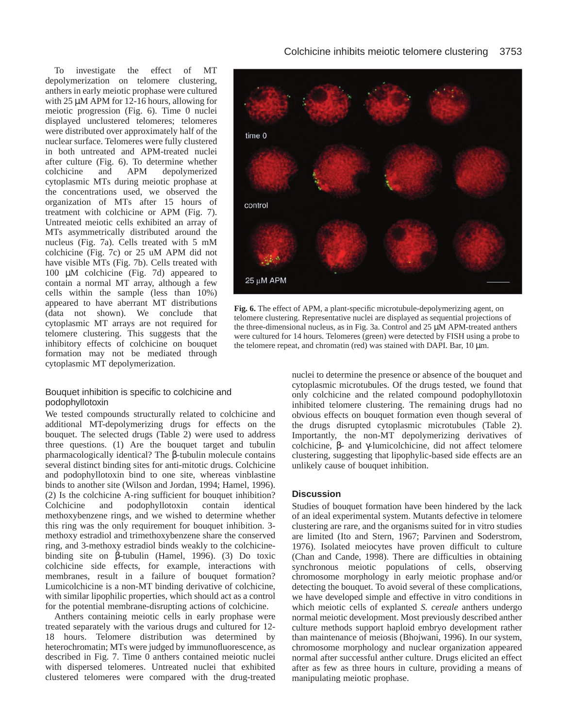To investigate the effect of MT depolymerization on telomere clustering, anthers in early meiotic prophase were cultured with 25  $\mu$ M APM for 12-16 hours, allowing for meiotic progression (Fig. 6). Time 0 nuclei displayed unclustered telomeres; telomeres were distributed over approximately half of the nuclear surface. Telomeres were fully clustered in both untreated and APM-treated nuclei after culture (Fig. 6). To determine whether colchicine and APM depolymerized cytoplasmic MTs during meiotic prophase at the concentrations used, we observed the organization of MTs after 15 hours of treatment with colchicine or APM (Fig. 7). Untreated meiotic cells exhibited an array of MTs asymmetrically distributed around the nucleus (Fig. 7a). Cells treated with 5 mM colchicine (Fig. 7c) or 25 uM APM did not have visible MTs (Fig. 7b). Cells treated with 100 µM colchicine (Fig. 7d) appeared to contain a normal MT array, although a few cells within the sample (less than 10%) appeared to have aberrant MT distributions (data not shown). We conclude that cytoplasmic MT arrays are not required for telomere clustering. This suggests that the inhibitory effects of colchicine on bouquet formation may not be mediated through cytoplasmic MT depolymerization.

## Bouquet inhibition is specific to colchicine and podophyllotoxin

We tested compounds structurally related to colchicine and additional MT-depolymerizing drugs for effects on the bouquet. The selected drugs (Table 2) were used to address three questions. (1) Are the bouquet target and tubulin pharmacologically identical? The β-tubulin molecule contains several distinct binding sites for anti-mitotic drugs. Colchicine and podophyllotoxin bind to one site, whereas vinblastine binds to another site (Wilson and Jordan, 1994; Hamel, 1996). (2) Is the colchicine A-ring sufficient for bouquet inhibition? Colchicine and podophyllotoxin contain identical methoxybenzene rings, and we wished to determine whether this ring was the only requirement for bouquet inhibition. 3 methoxy estradiol and trimethoxybenzene share the conserved ring, and 3-methoxy estradiol binds weakly to the colchicinebinding site on β-tubulin (Hamel, 1996). (3) Do toxic colchicine side effects, for example, interactions with membranes, result in a failure of bouquet formation? Lumicolchicine is a non-MT binding derivative of colchicine, with similar lipophilic properties, which should act as a control for the potential membrane-disrupting actions of colchicine.

Anthers containing meiotic cells in early prophase were treated separately with the various drugs and cultured for 12- 18 hours. Telomere distribution was determined by heterochromatin; MTs were judged by immunofluorescence, as described in Fig. 7. Time 0 anthers contained meiotic nuclei with dispersed telomeres. Untreated nuclei that exhibited clustered telomeres were compared with the drug-treated



**Fig. 6.** The effect of APM, a plant-specific microtubule-depolymerizing agent, on telomere clustering. Representative nuclei are displayed as sequential projections of the three-dimensional nucleus, as in Fig. 3a. Control and 25 µM APM-treated anthers were cultured for 14 hours. Telomeres (green) were detected by FISH using a probe to the telomere repeat, and chromatin (red) was stained with DAPI. Bar,  $10 \mu m$ .

nuclei to determine the presence or absence of the bouquet and cytoplasmic microtubules. Of the drugs tested, we found that only colchicine and the related compound podophyllotoxin inhibited telomere clustering. The remaining drugs had no obvious effects on bouquet formation even though several of the drugs disrupted cytoplasmic microtubules (Table 2). Importantly, the non-MT depolymerizing derivatives of colchicine, β- and γ-lumicolchicine, did not affect telomere clustering, suggesting that lipophylic-based side effects are an unlikely cause of bouquet inhibition.

# **Discussion**

Studies of bouquet formation have been hindered by the lack of an ideal experimental system. Mutants defective in telomere clustering are rare, and the organisms suited for in vitro studies are limited (Ito and Stern, 1967; Parvinen and Soderstrom, 1976). Isolated meiocytes have proven difficult to culture (Chan and Cande, 1998). There are difficulties in obtaining synchronous meiotic populations of cells, observing chromosome morphology in early meiotic prophase and/or detecting the bouquet. To avoid several of these complications, we have developed simple and effective in vitro conditions in which meiotic cells of explanted *S. cereale* anthers undergo normal meiotic development. Most previously described anther culture methods support haploid embryo development rather than maintenance of meiosis (Bhojwani, 1996). In our system, chromosome morphology and nuclear organization appeared normal after successful anther culture. Drugs elicited an effect after as few as three hours in culture, providing a means of manipulating meiotic prophase.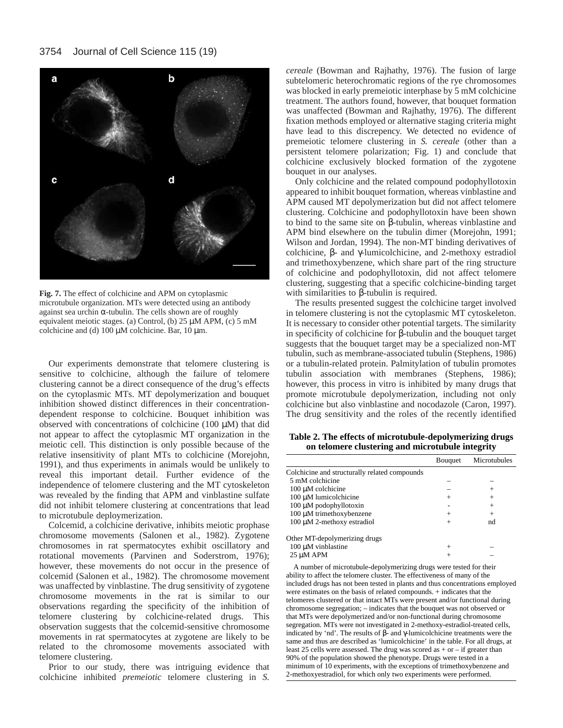

**Fig. 7.** The effect of colchicine and APM on cytoplasmic microtubule organization. MTs were detected using an antibody against sea urchin  $\alpha$ -tubulin. The cells shown are of roughly equivalent meiotic stages. (a) Control, (b) 25 µM APM, (c) 5 mM colchicine and (d)  $100 \mu M$  colchicine. Bar,  $10 \mu m$ .

Our experiments demonstrate that telomere clustering is sensitive to colchicine, although the failure of telomere clustering cannot be a direct consequence of the drug's effects on the cytoplasmic MTs. MT depolymerization and bouquet inhibition showed distinct differences in their concentrationdependent response to colchicine. Bouquet inhibition was observed with concentrations of colchicine (100 µM) that did not appear to affect the cytoplasmic MT organization in the meiotic cell. This distinction is only possible because of the relative insensitivity of plant MTs to colchicine (Morejohn, 1991), and thus experiments in animals would be unlikely to reveal this important detail. Further evidence of the independence of telomere clustering and the MT cytoskeleton was revealed by the finding that APM and vinblastine sulfate did not inhibit telomere clustering at concentrations that lead to microtubule deploymerization.

Colcemid, a colchicine derivative, inhibits meiotic prophase chromosome movements (Salonen et al., 1982). Zygotene chromosomes in rat spermatocytes exhibit oscillatory and rotational movements (Parvinen and Soderstrom, 1976); however, these movements do not occur in the presence of colcemid (Salonen et al., 1982). The chromosome movement was unaffected by vinblastine. The drug sensitivity of zygotene chromosome movements in the rat is similar to our observations regarding the specificity of the inhibition of telomere clustering by colchicine-related drugs. This observation suggests that the colcemid-sensitive chromosome movements in rat spermatocytes at zygotene are likely to be related to the chromosome movements associated with telomere clustering.

Prior to our study, there was intriguing evidence that colchicine inhibited *premeiotic* telomere clustering in *S.*

*cereale* (Bowman and Rajhathy, 1976). The fusion of large subtelomeric heterochromatic regions of the rye chromosomes was blocked in early premeiotic interphase by 5 mM colchicine treatment. The authors found, however, that bouquet formation was unaffected (Bowman and Rajhathy, 1976). The different fixation methods employed or alternative staging criteria might have lead to this discrepency. We detected no evidence of premeiotic telomere clustering in *S. cereale* (other than a persistent telomere polarization; Fig. 1) and conclude that colchicine exclusively blocked formation of the zygotene bouquet in our analyses.

Only colchicine and the related compound podophyllotoxin appeared to inhibit bouquet formation, whereas vinblastine and APM caused MT depolymerization but did not affect telomere clustering. Colchicine and podophyllotoxin have been shown to bind to the same site on β-tubulin, whereas vinblastine and APM bind elsewhere on the tubulin dimer (Morejohn, 1991; Wilson and Jordan, 1994). The non-MT binding derivatives of colchicine, β- and γ-lumicolchicine, and 2-methoxy estradiol and trimethoxybenzene, which share part of the ring structure of colchicine and podophyllotoxin, did not affect telomere clustering, suggesting that a specific colchicine-binding target with similarities to β-tubulin is required.

The results presented suggest the colchicine target involved in telomere clustering is not the cytoplasmic MT cytoskeleton. It is necessary to consider other potential targets. The similarity in specificity of colchicine for β-tubulin and the bouquet target suggests that the bouquet target may be a specialized non-MT tubulin, such as membrane-associated tubulin (Stephens, 1986) or a tubulin-related protein. Palmitylation of tubulin promotes tubulin association with membranes (Stephens, 1986); however, this process in vitro is inhibited by many drugs that promote microtubule depolymerization, including not only colchicine but also vinblastine and nocodazole (Caron, 1997). The drug sensitivity and the roles of the recently identified

**Table 2. The effects of microtubule-depolymerizing drugs on telomere clustering and microtubule integrity**

|                                               | Bouquet | Microtubules |
|-----------------------------------------------|---------|--------------|
|                                               |         |              |
| Colchicine and structurally related compounds |         |              |
| 5 mM colchicine                               |         |              |
| $100 \mu M$ colchicine                        |         | $^+$         |
| 100 µM lumicolchicine                         | $^+$    | $^+$         |
| 100 μM podophyllotoxin                        |         | $^{+}$       |
| 100 μM trimethoxybenzene                      | $^+$    |              |
| 100 μM 2-methoxy estradiol                    |         | nd           |
| Other MT-depolymerizing drugs                 |         |              |
| 100 µM vinblastine                            |         |              |
| 25 µM APM                                     |         |              |

A number of microtubule-depolymerizing drugs were tested for their ability to affect the telomere cluster. The effectiveness of many of the included drugs has not been tested in plants and thus concentrations employed were estimates on the basis of related compounds. + indicates that the telomeres clustered or that intact MTs were present and/or functional during chromosome segregation; – indicates that the bouquet was not observed or that MTs were depolymerized and/or non-functional during chromosome segregation. MTs were not investigated in 2-methoxy-estradiol-treated cells, indicated by 'nd'. The results of β- and γ-lumicolchicine treatments were the same and thus are described as 'lumicolchicine' in the table. For all drugs, at least 25 cells were assessed. The drug was scored as  $+$  or  $-$  if greater than 90% of the population showed the phenotype. Drugs were tested in a minimum of 10 experiments, with the exceptions of trimethoxybenzene and 2-methoxyestradiol, for which only two experiments were performed.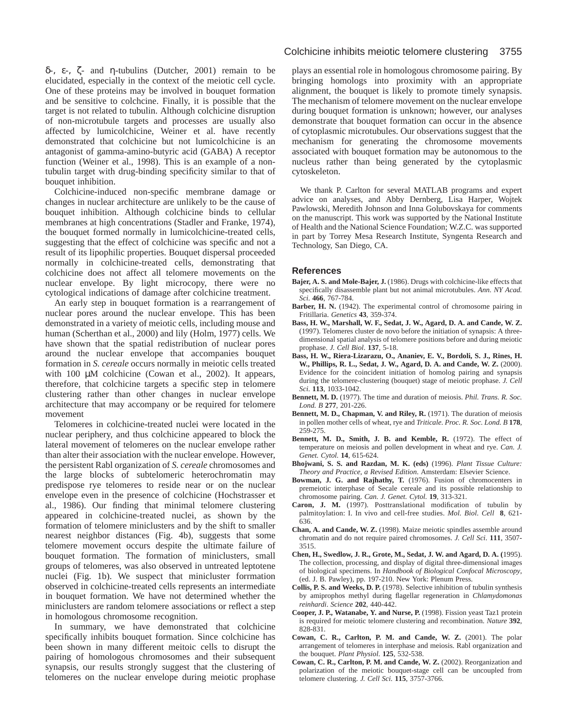δ-, ε-, ζ- and η-tubulins (Dutcher, 2001) remain to be elucidated, especially in the context of the meiotic cell cycle. One of these proteins may be involved in bouquet formation and be sensitive to colchcine. Finally, it is possible that the target is not related to tubulin. Although colchicine disruption of non-microtubule targets and processes are usually also affected by lumicolchicine, Weiner et al. have recently demonstrated that colchicine but not lumicolchicine is an antagonist of gamma-amino-butyric acid (GABA) A receptor function (Weiner et al., 1998). This is an example of a nontubulin target with drug-binding specificity similar to that of bouquet inhibition.

Colchicine-induced non-specific membrane damage or changes in nuclear architecture are unlikely to be the cause of bouquet inhibition. Although colchicine binds to cellular membranes at high concentrations (Stadler and Franke, 1974), the bouquet formed normally in lumicolchicine-treated cells, suggesting that the effect of colchicine was specific and not a result of its lipophilic properties. Bouquet dispersal proceeded normally in colchicine-treated cells, demonstrating that colchicine does not affect all telomere movements on the nuclear envelope. By light microcopy, there were no cytological indications of damage after colchicine treatment.

An early step in bouquet formation is a rearrangement of nuclear pores around the nuclear envelope. This has been demonstrated in a variety of meiotic cells, including mouse and human (Scherthan et al., 2000) and lily (Holm, 1977) cells. We have shown that the spatial redistribution of nuclear pores around the nuclear envelope that accompanies bouquet formation in *S. cereale* occurs normally in meiotic cells treated with 100  $\mu$ M colchicine (Cowan et al., 2002). It appears, therefore, that colchicine targets a specific step in telomere clustering rather than other changes in nuclear envelope architecture that may accompany or be required for telomere movement

Telomeres in colchicine-treated nuclei were located in the nuclear periphery, and thus colchicine appeared to block the lateral movement of telomeres on the nuclear envelope rather than alter their association with the nuclear envelope. However, the persistent Rabl organization of *S. cereale* chromosomes and the large blocks of subtelomeric heterochromatin may predispose rye telomeres to reside near or on the nuclear envelope even in the presence of colchicine (Hochstrasser et al., 1986). Our finding that minimal telomere clustering appeared in colchicine-treated nuclei, as shown by the formation of telomere miniclusters and by the shift to smaller nearest neighbor distances (Fig. 4b), suggests that some telomere movement occurs despite the ultimate failure of bouquet formation. The formation of miniclusters, small groups of telomeres, was also observed in untreated leptotene nuclei (Fig. 1b). We suspect that minicluster forrmation observed in colchicine-treated cells represents an intermediate in bouquet formation. We have not determined whether the miniclusters are random telomere associations or reflect a step in homologous chromosome recognition.

In summary, we have demonstrated that colchicine specifically inhibits bouquet formation. Since colchicine has been shown in many different meitoic cells to disrupt the pairing of homologous chromosomes and their subsequent synapsis, our results strongly suggest that the clustering of telomeres on the nuclear envelope during meiotic prophase

plays an essential role in homologous chromosome pairing. By bringing homologs into proximity with an appropriate alignment, the bouquet is likely to promote timely synapsis. The mechanism of telomere movement on the nuclear envelope during bouquet formation is unknown; however, our analyses demonstrate that bouquet formation can occur in the absence of cytoplasmic microtubules. Our observations suggest that the mechanism for generating the chromosome movements associated with bouquet formation may be autonomous to the nucleus rather than being generated by the cytoplasmic cytoskeleton.

We thank P. Carlton for several MATLAB programs and expert advice on analyses, and Abby Dernberg, Lisa Harper, Wojtek Pawlowski, Meredith Johnson and Inna Golubovskaya for comments on the manuscript. This work was supported by the National Institute of Health and the National Science Foundation; W.Z.C. was supported in part by Torrey Mesa Research Institute, Syngenta Research and Technology, San Diego, CA.

## **References**

- **Bajer, A. S. and Mole-Bajer, J.** (1986). Drugs with colchicine-like effects that specifically disassemble plant but not animal microtubules. *Ann. NY Acad. Sci*. **466**, 767-784.
- **Barber, H. N.** (1942). The experimental control of chromosome pairing in Fritillaria. *Genetics* **43**, 359-374.
- **Bass, H. W., Marshall, W. F., Sedat, J. W., Agard, D. A. and Cande, W. Z.** (1997). Telomeres cluster de novo before the initiation of synapsis: A threedimensional spatial analysis of telomere positions before and during meiotic prophase. *J. Cell Biol*. **137**, 5-18.
- **Bass, H. W., Riera-Lizarazu, O., Ananiev, E. V., Bordoli, S. J., Rines, H. W., Phillips, R. L., Sedat, J. W., Agard, D. A. and Cande, W. Z.** (2000). Evidence for the coincident initiation of homolog pairing and synapsis during the telomere-clustering (bouquet) stage of meiotic prophase. *J. Cell Sci*. **113**, 1033-1042.
- **Bennett, M. D.** (1977). The time and duration of meiosis. *Phil. Trans. R. Soc. Lond. B* **277**, 201-226.
- **Bennett, M. D., Chapman, V. and Riley, R.** (1971). The duration of meiosis in pollen mother cells of wheat, rye and *Triticale*. *Proc. R. Soc. Lond. B* **178**, 259-275.
- **Bennett, M. D., Smith, J. B. and Kemble, R.** (1972). The effect of temperature on meiosis and pollen development in wheat and rye. *Can. J. Genet. Cytol.* **14**, 615-624.
- **Bhojwani, S. S. and Razdan, M. K. (eds)** (1996). *Plant Tissue Culture: Theory and Practice, a Revised Edition*. Amsterdam: Elsevier Science.
- **Bowman, J. G. and Rajhathy, T.** (1976). Fusion of chromocenters in premeiotic interphase of Secale cereale and its possible relationship to chromosome pairing. *Can. J. Genet. Cytol.* **19**, 313-321.
- **Caron, J. M.** (1997). Posttranslational modification of tubulin by palmitoylation: I. In vivo and cell-free studies. *Mol. Biol. Cell* **8**, 621- 636.
- **Chan, A. and Cande, W. Z.** (1998). Maize meiotic spindles assemble around chromatin and do not require paired chromosomes. *J. Cell Sci*. **111**, 3507- 3515.
- **Chen, H., Swedlow, J. R., Grote, M., Sedat, J. W. and Agard, D. A. (**1995). The collection, processing, and display of digital three-dimensional images of biological specimens. In *Handbook of Biological Confocal Microscopy*, (ed. J. B. Pawley), pp. 197-210. New York: Plenum Press.
- **Collis, P. S. and Weeks, D. P.** (1978). Selective inhibition of tubulin synthesis by amiprophos methyl during flagellar regeneration in *Chlamydomonas reinhardi*. *Science* **202**, 440-442.
- **Cooper, J. P., Watanabe, Y. and Nurse, P.** (1998). Fission yeast Taz1 protein is required for meiotic telomere clustering and recombination. *Nature* **392**, 828-831.
- **Cowan, C. R., Carlton, P. M. and Cande, W. Z.** (2001). The polar arrangement of telomeres in interphase and meiosis. Rabl organization and the bouquet. *Plant Physiol*. **125**, 532-538.
- **Cowan, C. R., Carlton, P. M. and Cande, W. Z.** (2002). Reorganization and polarization of the meiotic bouquet-stage cell can be uncoupled from telomere clustering. *J. Cell Sci.* **115**, 3757-3766.